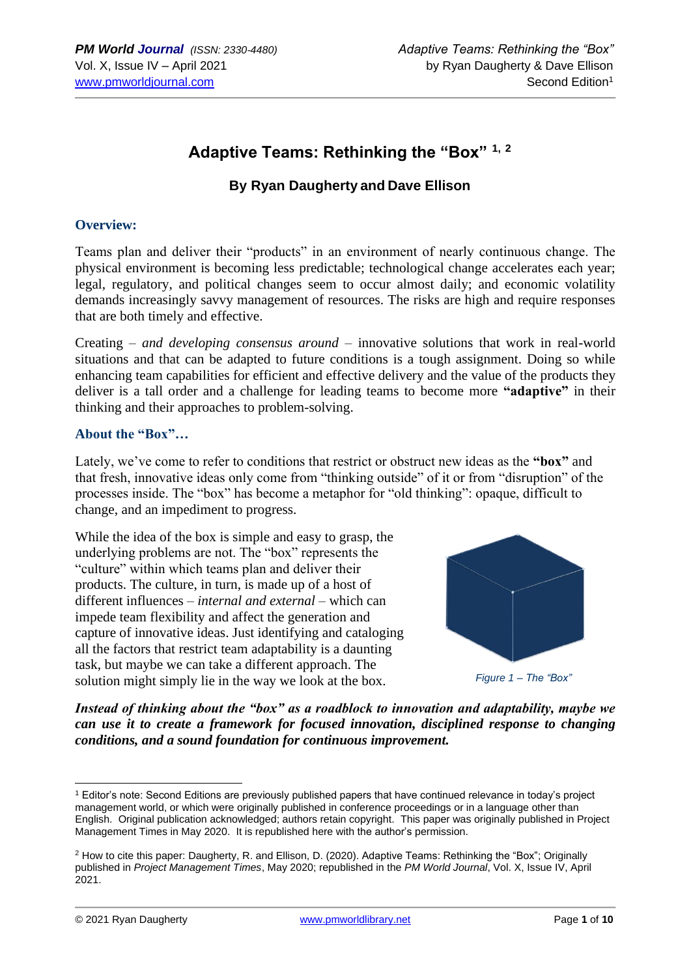## **Adaptive Teams: Rethinking the "Box" 1, <sup>2</sup>**

## **By Ryan Daugherty and Dave Ellison**

#### **Overview:**

Teams plan and deliver their "products" in an environment of nearly continuous change. The physical environment is becoming less predictable; technological change accelerates each year; legal, regulatory, and political changes seem to occur almost daily; and economic volatility demands increasingly savvy management of resources. The risks are high and require responses that are both timely and effective.

Creating – *and developing consensus around* – innovative solutions that work in real-world situations and that can be adapted to future conditions is a tough assignment. Doing so while enhancing team capabilities for efficient and effective delivery and the value of the products they deliver is a tall order and a challenge for leading teams to become more **"adaptive"** in their thinking and their approaches to problem-solving.

#### **About the "Box"…**

Lately, we've come to refer to conditions that restrict or obstruct new ideas as the **"box"** and that fresh, innovative ideas only come from "thinking outside" of it or from "disruption" of the processes inside. The "box" has become a metaphor for "old thinking": opaque, difficult to change, and an impediment to progress.

While the idea of the box is simple and easy to grasp, the underlying problems are not. The "box" represents the "culture" within which teams plan and deliver their products. The culture, in turn, is made up of a host of different influences – *internal and external* – which can impede team flexibility and affect the generation and capture of innovative ideas. Just identifying and cataloging all the factors that restrict team adaptability is a daunting task, but maybe we can take a different approach. The solution might simply lie in the way we look at the box.



*Instead of thinking about the "box" as a roadblock to innovation and adaptability, maybe we can use it to create a framework for focused innovation, disciplined response to changing conditions, and a sound foundation for continuous improvement.* 

<sup>1</sup> Editor's note: Second Editions are previously published papers that have continued relevance in today's project management world, or which were originally published in conference proceedings or in a language other than English. Original publication acknowledged; authors retain copyright. This paper was originally published in Project Management Times in May 2020. It is republished here with the author's permission.

<sup>2</sup> How to cite this paper: Daugherty, R. and Ellison, D. (2020). Adaptive Teams: Rethinking the "Box"; Originally published in *Project Management Times*, May 2020; republished in the *PM World Journal*, Vol. X, Issue IV, April 2021.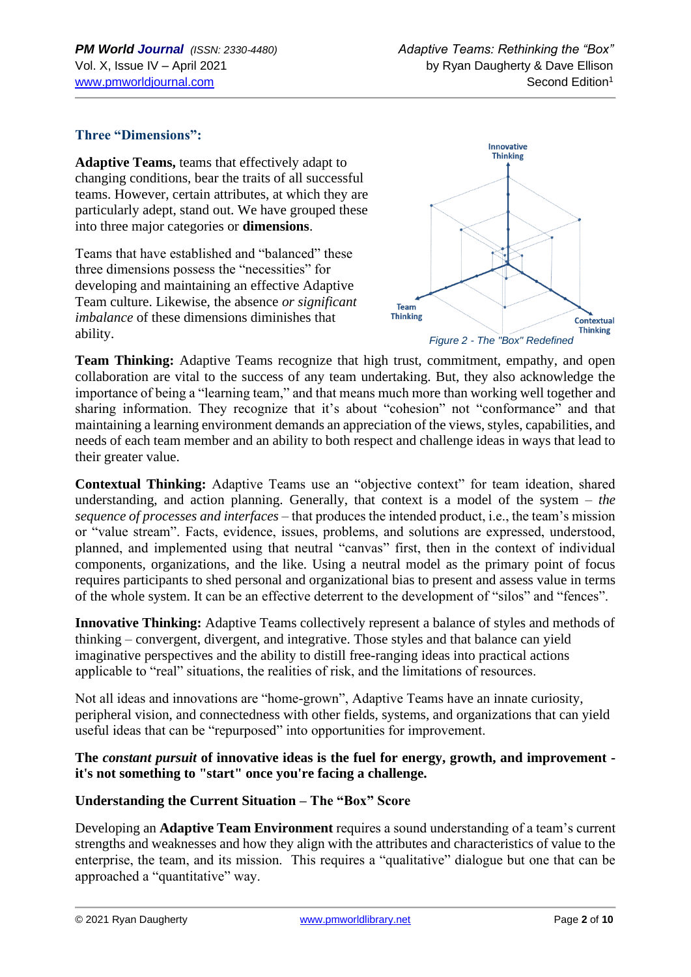## **Three "Dimensions":**

**Adaptive Teams,** teams that effectively adapt to changing conditions, bear the traits of all successful teams. However, certain attributes, at which they are particularly adept, stand out. We have grouped these into three major categories or **dimensions**.

Teams that have established and "balanced" these three dimensions possess the "necessities" for developing and maintaining an effective Adaptive Team culture. Likewise, the absence *or significant imbalance* of these dimensions diminishes that ability.



**Team Thinking:** Adaptive Teams recognize that high trust, commitment, empathy, and open collaboration are vital to the success of any team undertaking. But, they also acknowledge the importance of being a "learning team," and that means much more than working well together and sharing information. They recognize that it's about "cohesion" not "conformance" and that maintaining a learning environment demands an appreciation of the views, styles, capabilities, and needs of each team member and an ability to both respect and challenge ideas in ways that lead to their greater value.

**Contextual Thinking:** Adaptive Teams use an "objective context" for team ideation, shared understanding, and action planning. Generally, that context is a model of the system – *the sequence of processes and interfaces* – that produces the intended product, i.e., the team's mission or "value stream". Facts, evidence, issues, problems, and solutions are expressed, understood, planned, and implemented using that neutral "canvas" first, then in the context of individual components, organizations, and the like. Using a neutral model as the primary point of focus requires participants to shed personal and organizational bias to present and assess value in terms of the whole system. It can be an effective deterrent to the development of "silos" and "fences".

**Innovative Thinking:** Adaptive Teams collectively represent a balance of styles and methods of thinking – convergent, divergent, and integrative. Those styles and that balance can yield imaginative perspectives and the ability to distill free-ranging ideas into practical actions applicable to "real" situations, the realities of risk, and the limitations of resources.

Not all ideas and innovations are "home-grown", Adaptive Teams have an innate curiosity, peripheral vision, and connectedness with other fields, systems, and organizations that can yield useful ideas that can be "repurposed" into opportunities for improvement.

#### **The** *constant pursuit* **of innovative ideas is the fuel for energy, growth, and improvement it's not something to "start" once you're facing a challenge.**

#### **Understanding the Current Situation – The "Box" Score**

Developing an **Adaptive Team Environment** requires a sound understanding of a team's current strengths and weaknesses and how they align with the attributes and characteristics of value to the enterprise, the team, and its mission. This requires a "qualitative" dialogue but one that can be approached a "quantitative" way.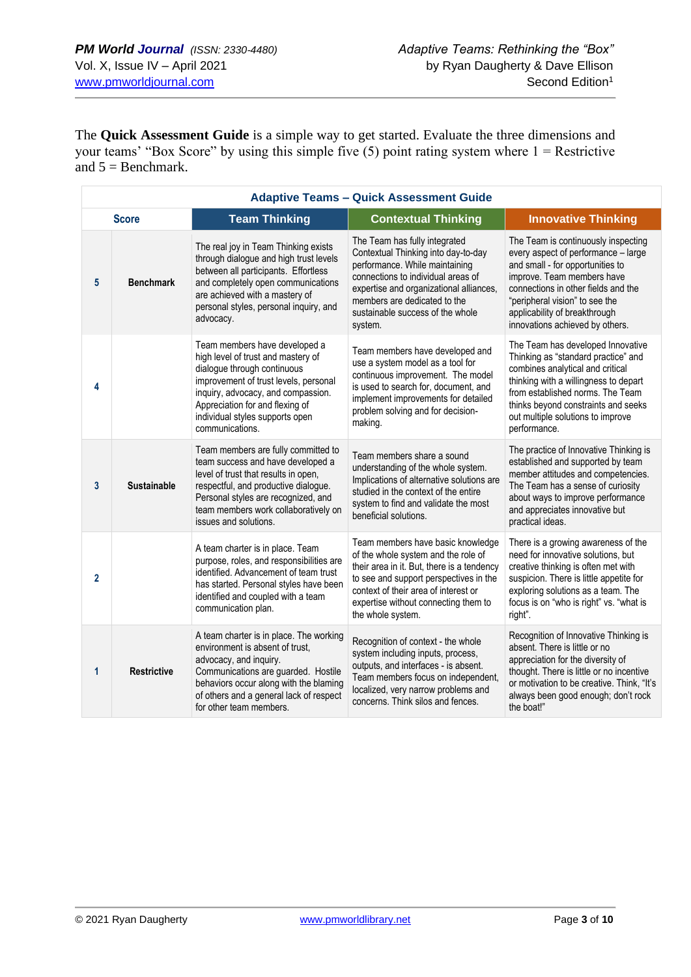The **Quick Assessment Guide** is a simple way to get started. Evaluate the three dimensions and your teams' "Box Score" by using this simple five  $(5)$  point rating system where  $1 =$  Restrictive and  $5 = \text{Benchmark.}$ 

| <b>Adaptive Teams - Quick Assessment Guide</b> |                    |                                                                                                                                                                                                                                                                            |                                                                                                                                                                                                                                                                        |                                                                                                                                                                                                                                                                                           |  |  |
|------------------------------------------------|--------------------|----------------------------------------------------------------------------------------------------------------------------------------------------------------------------------------------------------------------------------------------------------------------------|------------------------------------------------------------------------------------------------------------------------------------------------------------------------------------------------------------------------------------------------------------------------|-------------------------------------------------------------------------------------------------------------------------------------------------------------------------------------------------------------------------------------------------------------------------------------------|--|--|
| <b>Score</b>                                   |                    | <b>Team Thinking</b>                                                                                                                                                                                                                                                       | <b>Contextual Thinking</b>                                                                                                                                                                                                                                             | <b>Innovative Thinking</b>                                                                                                                                                                                                                                                                |  |  |
| 5                                              | <b>Benchmark</b>   | The real joy in Team Thinking exists<br>through dialogue and high trust levels<br>between all participants. Effortless<br>and completely open communications<br>are achieved with a mastery of<br>personal styles, personal inquiry, and<br>advocacy.                      | The Team has fully integrated<br>Contextual Thinking into day-to-day<br>performance. While maintaining<br>connections to individual areas of<br>expertise and organizational alliances,<br>members are dedicated to the<br>sustainable success of the whole<br>system. | The Team is continuously inspecting<br>every aspect of performance - large<br>and small - for opportunities to<br>improve. Team members have<br>connections in other fields and the<br>"peripheral vision" to see the<br>applicability of breakthrough<br>innovations achieved by others. |  |  |
| 4                                              |                    | Team members have developed a<br>high level of trust and mastery of<br>dialogue through continuous<br>improvement of trust levels, personal<br>inquiry, advocacy, and compassion.<br>Appreciation for and flexing of<br>individual styles supports open<br>communications. | Team members have developed and<br>use a system model as a tool for<br>continuous improvement. The model<br>is used to search for, document, and<br>implement improvements for detailed<br>problem solving and for decision-<br>making.                                | The Team has developed Innovative<br>Thinking as "standard practice" and<br>combines analytical and critical<br>thinking with a willingness to depart<br>from established norms. The Team<br>thinks beyond constraints and seeks<br>out multiple solutions to improve<br>performance.     |  |  |
| 3                                              | <b>Sustainable</b> | Team members are fully committed to<br>team success and have developed a<br>level of trust that results in open,<br>respectful, and productive dialogue.<br>Personal styles are recognized, and<br>team members work collaboratively on<br>issues and solutions.           | Team members share a sound<br>understanding of the whole system.<br>Implications of alternative solutions are<br>studied in the context of the entire<br>system to find and validate the most<br>beneficial solutions.                                                 | The practice of Innovative Thinking is<br>established and supported by team<br>member attitudes and competencies.<br>The Team has a sense of curiosity<br>about ways to improve performance<br>and appreciates innovative but<br>practical ideas.                                         |  |  |
| $\overline{2}$                                 |                    | A team charter is in place. Team<br>purpose, roles, and responsibilities are<br>identified. Advancement of team trust<br>has started. Personal styles have been<br>identified and coupled with a team<br>communication plan.                                               | Team members have basic knowledge<br>of the whole system and the role of<br>their area in it. But, there is a tendency<br>to see and support perspectives in the<br>context of their area of interest or<br>expertise without connecting them to<br>the whole system.  | There is a growing awareness of the<br>need for innovative solutions, but<br>creative thinking is often met with<br>suspicion. There is little appetite for<br>exploring solutions as a team. The<br>focus is on "who is right" vs. "what is<br>right".                                   |  |  |
| 1                                              | <b>Restrictive</b> | A team charter is in place. The working<br>environment is absent of trust,<br>advocacy, and inquiry.<br>Communications are guarded. Hostile<br>behaviors occur along with the blaming<br>of others and a general lack of respect<br>for other team members.                | Recognition of context - the whole<br>system including inputs, process,<br>outputs, and interfaces - is absent.<br>Team members focus on independent,<br>localized, very narrow problems and<br>concerns. Think silos and fences.                                      | Recognition of Innovative Thinking is<br>absent. There is little or no<br>appreciation for the diversity of<br>thought. There is little or no incentive<br>or motivation to be creative. Think, "It's<br>always been good enough; don't rock<br>the boat!"                                |  |  |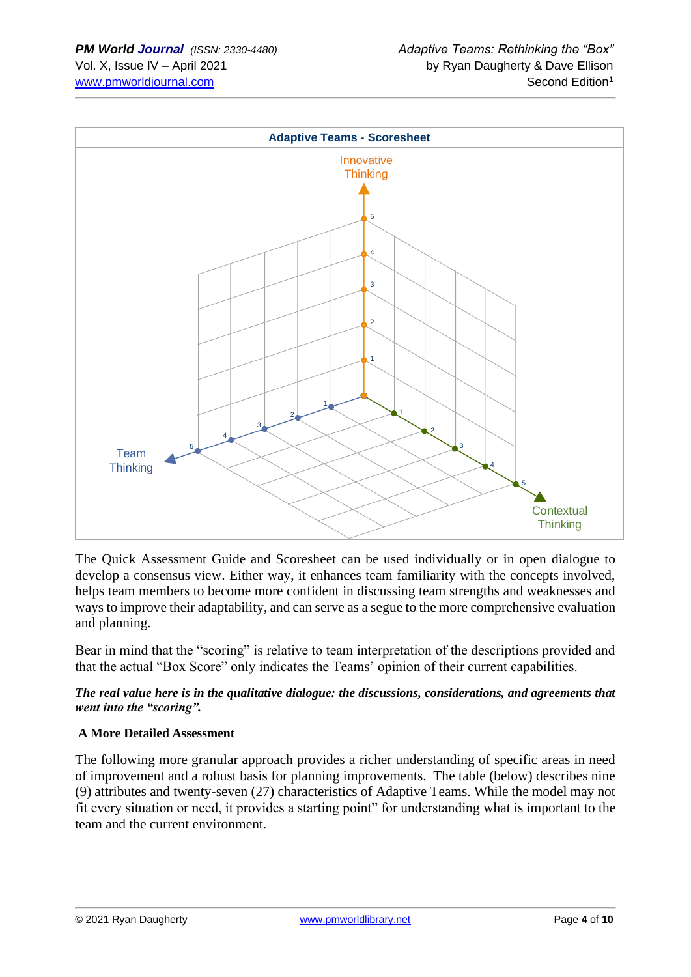

The Quick Assessment Guide and Scoresheet can be used individually or in open dialogue to develop a consensus view. Either way, it enhances team familiarity with the concepts involved, helps team members to become more confident in discussing team strengths and weaknesses and ways to improve their adaptability, and can serve as a segue to the more comprehensive evaluation and planning.

Bear in mind that the "scoring" is relative to team interpretation of the descriptions provided and that the actual "Box Score" only indicates the Teams' opinion of their current capabilities.

#### *The real value here is in the qualitative dialogue: the discussions, considerations, and agreements that went into the "scoring".*

## **A More Detailed Assessment**

The following more granular approach provides a richer understanding of specific areas in need of improvement and a robust basis for planning improvements. The table (below) describes nine (9) attributes and twenty-seven (27) characteristics of Adaptive Teams. While the model may not fit every situation or need, it provides a starting point" for understanding what is important to the team and the current environment.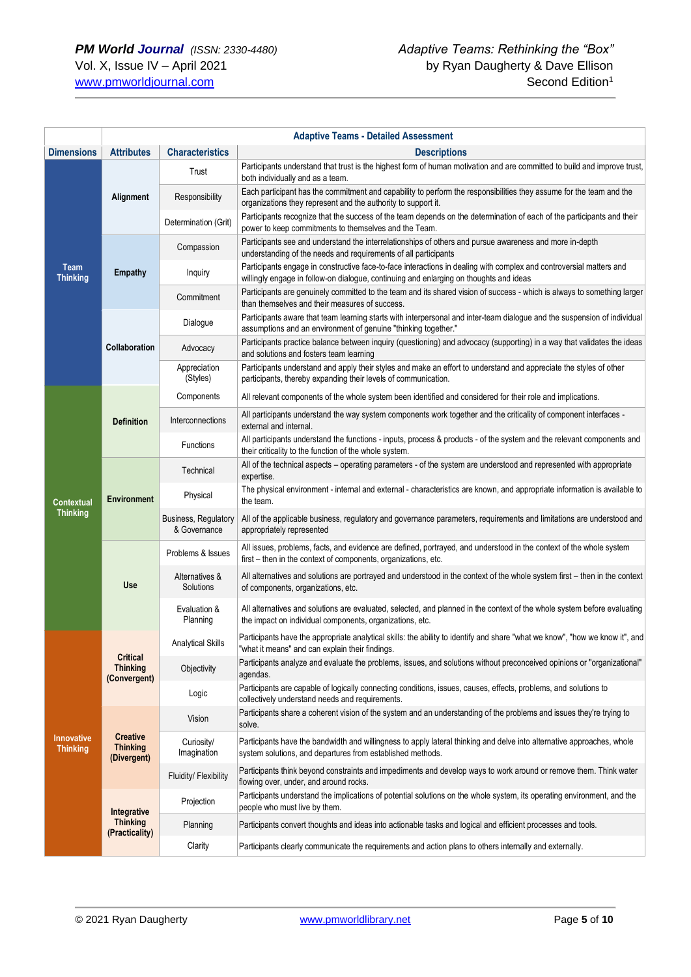|                                      | <b>Adaptive Teams - Detailed Assessment</b>        |                                      |                                                                                                                                                                                                               |  |
|--------------------------------------|----------------------------------------------------|--------------------------------------|---------------------------------------------------------------------------------------------------------------------------------------------------------------------------------------------------------------|--|
| <b>Dimensions</b>                    | <b>Attributes</b>                                  | <b>Characteristics</b>               | <b>Descriptions</b>                                                                                                                                                                                           |  |
|                                      |                                                    | Trust                                | Participants understand that trust is the highest form of human motivation and are committed to build and improve trust,<br>both individually and as a team.                                                  |  |
|                                      | Alignment                                          | Responsibility                       | Each participant has the commitment and capability to perform the responsibilities they assume for the team and the<br>organizations they represent and the authority to support it.                          |  |
|                                      |                                                    | Determination (Grit)                 | Participants recognize that the success of the team depends on the determination of each of the participants and their<br>power to keep commitments to themselves and the Team.                               |  |
|                                      | <b>Empathy</b>                                     | Compassion                           | Participants see and understand the interrelationships of others and pursue awareness and more in-depth<br>understanding of the needs and requirements of all participants                                    |  |
| Team<br><b>Thinking</b>              |                                                    | Inquiry                              | Participants engage in constructive face-to-face interactions in dealing with complex and controversial matters and<br>willingly engage in follow-on dialogue, continuing and enlarging on thoughts and ideas |  |
|                                      |                                                    | Commitment                           | Participants are genuinely committed to the team and its shared vision of success - which is always to something larger<br>than themselves and their measures of success.                                     |  |
|                                      |                                                    | Dialogue                             | Participants aware that team learning starts with interpersonal and inter-team dialogue and the suspension of individual<br>assumptions and an environment of genuine "thinking together."                    |  |
|                                      | Collaboration                                      | Advocacy                             | Participants practice balance between inquiry (questioning) and advocacy (supporting) in a way that validates the ideas<br>and solutions and fosters team learning                                            |  |
|                                      |                                                    | Appreciation<br>(Styles)             | Participants understand and apply their styles and make an effort to understand and appreciate the styles of other<br>participants, thereby expanding their levels of communication.                          |  |
|                                      |                                                    | Components                           | All relevant components of the whole system been identified and considered for their role and implications.                                                                                                   |  |
|                                      | <b>Definition</b>                                  | Interconnections                     | All participants understand the way system components work together and the criticality of component interfaces -<br>external and internal.                                                                   |  |
|                                      |                                                    | <b>Functions</b>                     | All participants understand the functions - inputs, process & products - of the system and the relevant components and<br>their criticality to the function of the whole system.                              |  |
|                                      |                                                    | Technical                            | All of the technical aspects – operating parameters - of the system are understood and represented with appropriate<br>expertise.                                                                             |  |
| Contextual                           | <b>Environment</b>                                 | Physical                             | The physical environment - internal and external - characteristics are known, and appropriate information is available to<br>the team.                                                                        |  |
| <b>Thinking</b>                      |                                                    | Business, Regulatory<br>& Governance | All of the applicable business, regulatory and governance parameters, requirements and limitations are understood and<br>appropriately represented                                                            |  |
|                                      |                                                    | Problems & Issues                    | All issues, problems, facts, and evidence are defined, portrayed, and understood in the context of the whole system<br>first - then in the context of components, organizations, etc.                         |  |
|                                      | Use                                                | Alternatives &<br>Solutions          | All alternatives and solutions are portrayed and understood in the context of the whole system first – then in the context<br>of components, organizations, etc.                                              |  |
|                                      |                                                    | Evaluation &<br>Planning             | All alternatives and solutions are evaluated, selected, and planned in the context of the whole system before evaluating<br>the impact on individual components, organizations, etc.                          |  |
|                                      |                                                    | <b>Analytical Skills</b>             | Participants have the appropriate analytical skills: the ability to identify and share "what we know", "how we know it", and<br>"what it means" and can explain their findings.                               |  |
|                                      | <b>Critical</b><br><b>Thinking</b><br>(Convergent) | Objectivity                          | Participants analyze and evaluate the problems, issues, and solutions without preconceived opinions or "organizational"<br>agendas.                                                                           |  |
|                                      |                                                    | Logic                                | Participants are capable of logically connecting conditions, issues, causes, effects, problems, and solutions to<br>collectively understand needs and requirements.                                           |  |
|                                      |                                                    | Vision                               | Participants share a coherent vision of the system and an understanding of the problems and issues they're trying to<br>solve.                                                                                |  |
| <b>Innovative</b><br><b>Thinking</b> | <b>Creative</b><br><b>Thinking</b><br>(Divergent)  | Curiosity/<br>Imagination            | Participants have the bandwidth and willingness to apply lateral thinking and delve into alternative approaches, whole<br>system solutions, and departures from established methods.                          |  |
|                                      |                                                    | Fluidity/ Flexibility                | Participants think beyond constraints and impediments and develop ways to work around or remove them. Think water<br>flowing over, under, and around rocks.                                                   |  |
|                                      | Integrative                                        | Projection                           | Participants understand the implications of potential solutions on the whole system, its operating environment, and the<br>people who must live by them.                                                      |  |
|                                      | <b>Thinking</b><br>(Practicality)                  | Planning                             | Participants convert thoughts and ideas into actionable tasks and logical and efficient processes and tools.                                                                                                  |  |
|                                      |                                                    | Clarity                              | Participants clearly communicate the requirements and action plans to others internally and externally.                                                                                                       |  |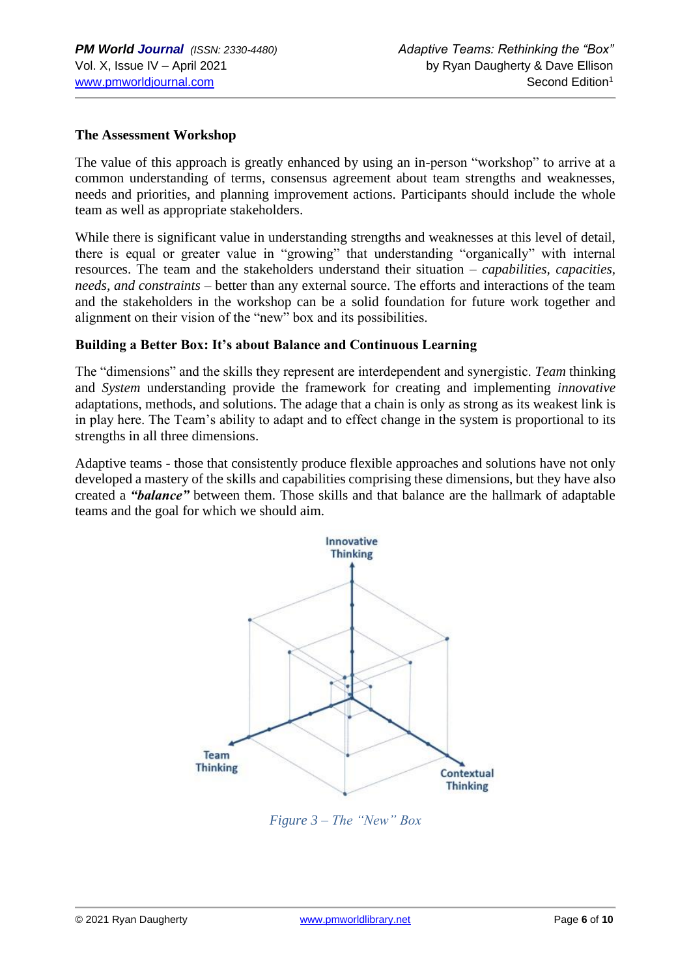#### **The Assessment Workshop**

The value of this approach is greatly enhanced by using an in-person "workshop" to arrive at a common understanding of terms, consensus agreement about team strengths and weaknesses, needs and priorities, and planning improvement actions. Participants should include the whole team as well as appropriate stakeholders.

While there is significant value in understanding strengths and weaknesses at this level of detail, there is equal or greater value in "growing" that understanding "organically" with internal resources. The team and the stakeholders understand their situation – *capabilities, capacities, needs, and constraints –* better than any external source. The efforts and interactions of the team and the stakeholders in the workshop can be a solid foundation for future work together and alignment on their vision of the "new" box and its possibilities.

#### **Building a Better Box: It's about Balance and Continuous Learning**

The "dimensions" and the skills they represent are interdependent and synergistic. *Team* thinking and *System* understanding provide the framework for creating and implementing *innovative* adaptations, methods, and solutions. The adage that a chain is only as strong as its weakest link is in play here. The Team's ability to adapt and to effect change in the system is proportional to its strengths in all three dimensions.

Adaptive teams - those that consistently produce flexible approaches and solutions have not only developed a mastery of the skills and capabilities comprising these dimensions, but they have also created a *"balance"* between them. Those skills and that balance are the hallmark of adaptable teams and the goal for which we should aim.



*Figure 3 – The "New" Box*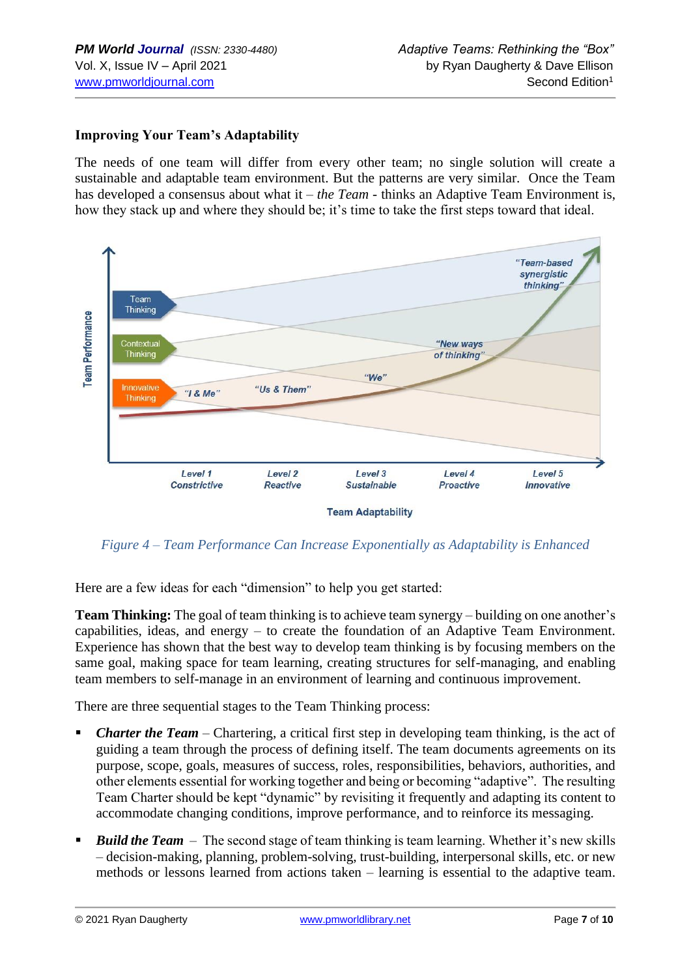### **Improving Your Team's Adaptability**

The needs of one team will differ from every other team; no single solution will create a sustainable and adaptable team environment. But the patterns are very similar. Once the Team has developed a consensus about what it – *the Team* - thinks an Adaptive Team Environment is, how they stack up and where they should be; it's time to take the first steps toward that ideal.



*Figure 4 – Team Performance Can Increase Exponentially as Adaptability is Enhanced*

Here are a few ideas for each "dimension" to help you get started:

**Team Thinking:** The goal of team thinking is to achieve team synergy – building on one another's capabilities, ideas, and energy – to create the foundation of an Adaptive Team Environment. Experience has shown that the best way to develop team thinking is by focusing members on the same goal, making space for team learning, creating structures for self-managing, and enabling team members to self-manage in an environment of learning and continuous improvement.

There are three sequential stages to the Team Thinking process:

- *Charter the Team* Chartering, a critical first step in developing team thinking, is the act of guiding a team through the process of defining itself. The team documents agreements on its purpose, scope, goals, measures of success, roles, responsibilities, behaviors, authorities, and other elements essential for working together and being or becoming "adaptive". The resulting Team Charter should be kept "dynamic" by revisiting it frequently and adapting its content to accommodate changing conditions, improve performance, and to reinforce its messaging.
- **E Build the Team** The second stage of team thinking is team learning. Whether it's new skills – decision-making, planning, problem-solving, trust-building, interpersonal skills, etc. or new methods or lessons learned from actions taken – learning is essential to the adaptive team.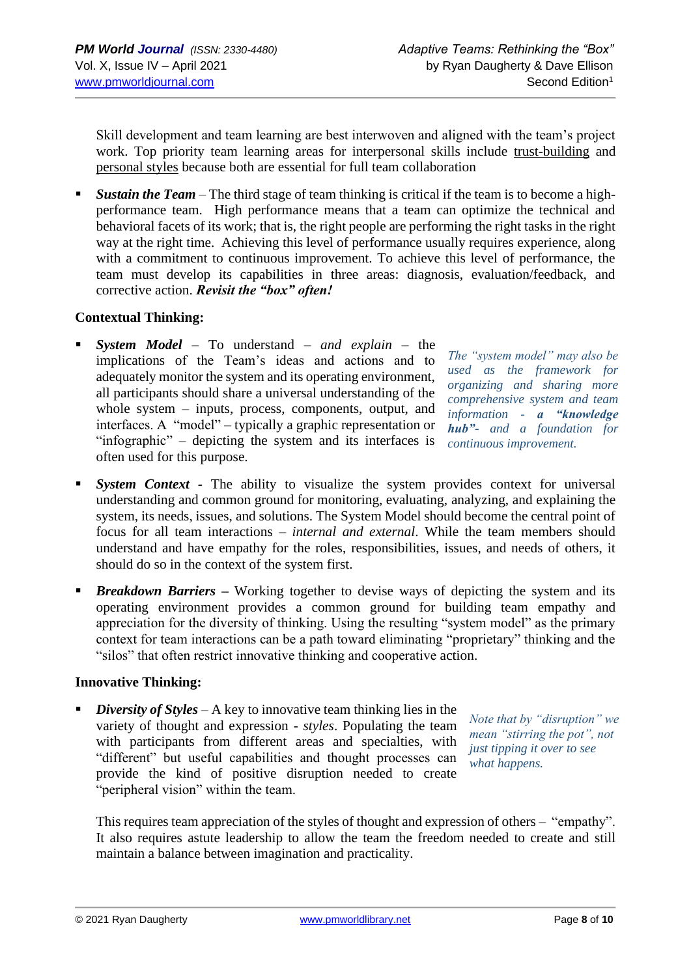Skill development and team learning are best interwoven and aligned with the team's project work. Top priority team learning areas for interpersonal skills include trust-building and personal styles because both are essential for full team collaboration

■ *Sustain the Team* – The third stage of team thinking is critical if the team is to become a highperformance team. High performance means that a team can optimize the technical and behavioral facets of its work; that is, the right people are performing the right tasks in the right way at the right time. Achieving this level of performance usually requires experience, along with a commitment to continuous improvement. To achieve this level of performance, the team must develop its capabilities in three areas: diagnosis, evaluation/feedback, and corrective action. *Revisit the "box" often!*

#### **Contextual Thinking:**

▪ *System Model* – To understand – *and explain* – the implications of the Team's ideas and actions and to adequately monitor the system and its operating environment, all participants should share a universal understanding of the whole system – inputs, process, components, output, and interfaces. A "model" – typically a graphic representation or "infographic" – depicting the system and its interfaces is often used for this purpose.

*The "system model" may also be used as the framework for organizing and sharing more comprehensive system and team information - a "knowledge hub"- and a foundation for continuous improvement.*

- **E System Context** The ability to visualize the system provides context for universal understanding and common ground for monitoring, evaluating, analyzing, and explaining the system, its needs, issues, and solutions. The System Model should become the central point of focus for all team interactions – *internal and external*. While the team members should understand and have empathy for the roles, responsibilities, issues, and needs of others, it should do so in the context of the system first.
- *Breakdown Barriers* Working together to devise ways of depicting the system and its operating environment provides a common ground for building team empathy and appreciation for the diversity of thinking. Using the resulting "system model" as the primary context for team interactions can be a path toward eliminating "proprietary" thinking and the "silos" that often restrict innovative thinking and cooperative action.

#### **Innovative Thinking:**

■ *Diversity of Styles* – A key to innovative team thinking lies in the variety of thought and expression - *styles*. Populating the team with participants from different areas and specialties, with "different" but useful capabilities and thought processes can provide the kind of positive disruption needed to create "peripheral vision" within the team.

*Note that by "disruption" we mean "stirring the pot", not just tipping it over to see what happens.*

This requires team appreciation of the styles of thought and expression of others – "empathy". It also requires astute leadership to allow the team the freedom needed to create and still maintain a balance between imagination and practicality.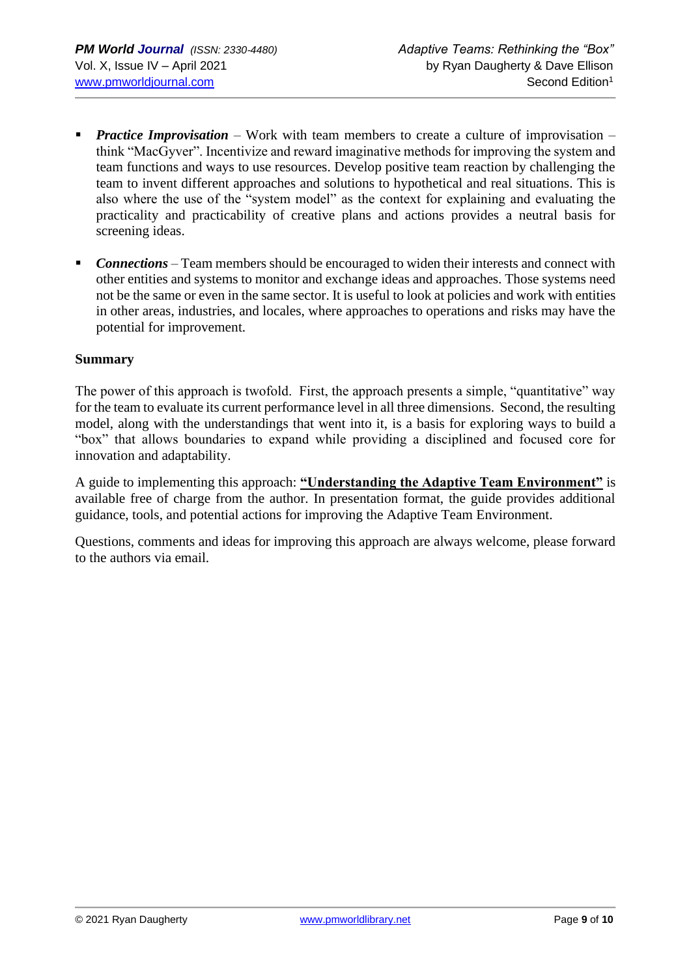- **•** *Practice Improvisation* Work with team members to create a culture of improvisation think "MacGyver". Incentivize and reward imaginative methods for improving the system and team functions and ways to use resources. Develop positive team reaction by challenging the team to invent different approaches and solutions to hypothetical and real situations. This is also where the use of the "system model" as the context for explaining and evaluating the practicality and practicability of creative plans and actions provides a neutral basis for screening ideas.
- *Connections* Team members should be encouraged to widen their interests and connect with other entities and systems to monitor and exchange ideas and approaches. Those systems need not be the same or even in the same sector. It is useful to look at policies and work with entities in other areas, industries, and locales, where approaches to operations and risks may have the potential for improvement.

#### **Summary**

The power of this approach is twofold. First, the approach presents a simple, "quantitative" way for the team to evaluate its current performance level in all three dimensions. Second, the resulting model, along with the understandings that went into it, is a basis for exploring ways to build a "box" that allows boundaries to expand while providing a disciplined and focused core for innovation and adaptability.

A guide to implementing this approach: **"Understanding the Adaptive Team Environment"** is available free of charge from the author. In presentation format, the guide provides additional guidance, tools, and potential actions for improving the Adaptive Team Environment.

Questions, comments and ideas for improving this approach are always welcome, please forward to the authors via email.